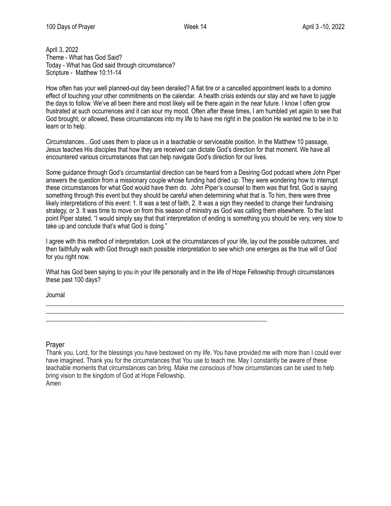April 3, 2022 Theme - What has God Said? Today - What has God said through circumstance? Scripture - Matthew 10:11-14

How often has your well planned-out day been derailed? A flat tire or a cancelled appointment leads to a domino effect of touching your other commitments on the calendar. A health crisis extends our stay and we have to juggle the days to follow. We've all been there and most likely will be there again in the near future. I know I often grow frustrated at such occurrences and it can sour my mood. Often after these times, I am humbled yet again to see that God brought, or allowed, these circumstances into my life to have me right in the position He wanted me to be in to learn or to help.

Circumstances…God uses them to place us in a teachable or serviceable position. In the Matthew 10 passage, Jesus teaches His disciples that how they are received can dictate God's direction for that moment. We have all encountered various circumstances that can help navigate God's direction for our lives.

Some guidance through God's circumstantial direction can be heard from a Desiring God podcast where John Piper answers the question from a missionary couple whose funding had dried up. They were wondering how to interrupt these circumstances for what God would have them do. John Piper's counsel to them was that first, God is saying something through this event but they should be careful when determining what that is. To him, there were three likely interpretations of this event: 1. It was a test of faith, 2. It was a sign they needed to change their fundraising strategy, or 3. It was time to move on from this season of ministry as God was calling them elsewhere. To the last point Piper stated, "I would simply say that that interpretation of ending is something you should be very, very slow to take up and conclude that's what God is doing."

I agree with this method of interpretation. Look at the circumstances of your life, lay out the possible outcomes, and then faithfully walk with God through each possible interpretation to see which one emerges as the true will of God for you right now.

What has God been saying to you in your life personally and in the life of Hope Fellowship through circumstances these past 100 days?

\_\_\_\_\_\_\_\_\_\_\_\_\_\_\_\_\_\_\_\_\_\_\_\_\_\_\_\_\_\_\_\_\_\_\_\_\_\_\_\_\_\_\_\_\_\_\_\_\_\_\_\_\_\_\_\_\_\_\_\_\_\_\_\_\_\_\_\_\_\_\_\_\_\_\_\_\_\_\_\_\_\_\_\_\_\_\_\_\_\_\_\_\_ \_\_\_\_\_\_\_\_\_\_\_\_\_\_\_\_\_\_\_\_\_\_\_\_\_\_\_\_\_\_\_\_\_\_\_\_\_\_\_\_\_\_\_\_\_\_\_\_\_\_\_\_\_\_\_\_\_\_\_\_\_\_\_\_\_\_\_\_\_\_\_\_\_\_\_\_\_\_\_\_\_\_\_\_\_\_\_\_\_\_\_\_\_

\_\_\_\_\_\_\_\_\_\_\_\_\_\_\_\_\_\_\_\_\_\_\_\_\_\_\_\_\_\_\_\_\_\_\_\_\_\_\_\_\_\_\_\_\_\_\_\_\_\_\_\_\_\_\_\_\_\_\_\_\_\_\_\_\_\_\_\_\_

Journal

Prayer

Thank you, Lord, for the blessings you have bestowed on my life. You have provided me with more than I could ever have imagined. Thank you for the circumstances that You use to teach me. May I constantly be aware of these teachable moments that circumstances can bring. Make me conscious of how circumstances can be used to help bring vision to the kingdom of God at Hope Fellowship. Amen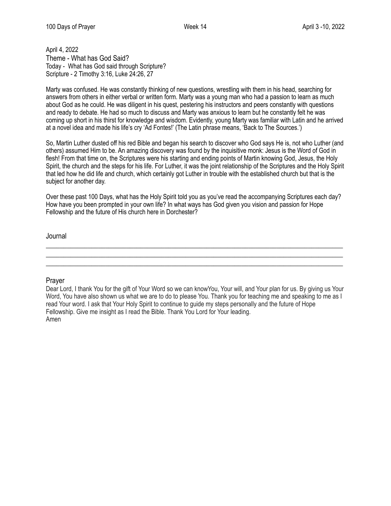April 4, 2022 Theme - What has God Said? Today - What has God said through Scripture? Scripture - 2 Timothy 3:16, Luke 24:26, 27

Marty was confused. He was constantly thinking of new questions, wrestling with them in his head, searching for answers from others in either verbal or written form. Marty was a young man who had a passion to learn as much about God as he could. He was diligent in his quest, pestering his instructors and peers constantly with questions and ready to debate. He had so much to discuss and Marty was anxious to learn but he constantly felt he was coming up short in his thirst for knowledge and wisdom. Evidently, young Marty was familiar with Latin and he arrived at a novel idea and made his life's cry 'Ad Fontes!' (The Latin phrase means, 'Back to The Sources.')

So, Martin Luther dusted off his red Bible and began his search to discover who God says He is, not who Luther (and others) assumed Him to be. An amazing discovery was found by the inquisitive monk: Jesus is the Word of God in flesh! From that time on, the Scriptures were his starting and ending points of Martin knowing God, Jesus, the Holy Spirit, the church and the steps for his life. For Luther, it was the joint relationship of the Scriptures and the Holy Spirit that led how he did life and church, which certainly got Luther in trouble with the established church but that is the subject for another day.

Over these past 100 Days, what has the Holy Spirit told you as you've read the accompanying Scriptures each day? How have you been prompted in your own life? In what ways has God given you vision and passion for Hope Fellowship and the future of His church here in Dorchester?

\_\_\_\_\_\_\_\_\_\_\_\_\_\_\_\_\_\_\_\_\_\_\_\_\_\_\_\_\_\_\_\_\_\_\_\_\_\_\_\_\_\_\_\_\_\_\_\_\_\_\_\_\_\_\_\_\_\_\_\_\_\_\_\_\_\_\_\_\_\_\_\_\_\_\_\_\_\_\_\_\_\_\_\_\_  $\_$  , and the set of the set of the set of the set of the set of the set of the set of the set of the set of the set of the set of the set of the set of the set of the set of the set of the set of the set of the set of th \_\_\_\_\_\_\_\_\_\_\_\_\_\_\_\_\_\_\_\_\_\_\_\_\_\_\_\_\_\_\_\_\_\_\_\_\_\_\_\_\_\_\_\_\_\_\_\_\_\_\_\_\_\_\_\_\_\_\_\_\_\_\_\_\_\_\_\_\_\_\_\_\_\_\_\_\_\_\_\_\_\_\_\_\_

Journal

## Prayer

Dear Lord, I thank You for the gift of Your Word so we can knowYou, Your will, and Your plan for us. By giving us Your Word, You have also shown us what we are to do to please You. Thank you for teaching me and speaking to me as I read Your word. I ask that Your Holy Spirit to continue to guide my steps personally and the future of Hope Fellowship. Give me insight as I read the Bible. Thank You Lord for Your leading. Amen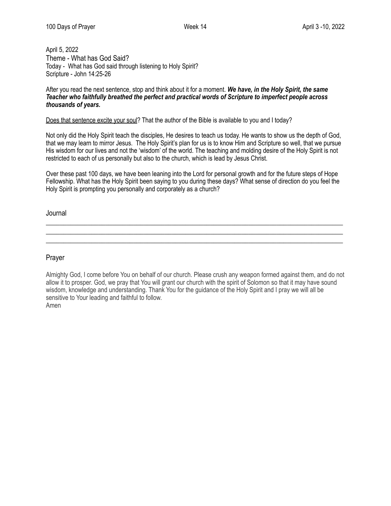April 5, 2022 Theme - What has God Said? Today - What has God said through listening to Holy Spirit? Scripture - John 14:25-26

After you read the next sentence, stop and think about it for a moment. *We have, in the Holy Spirit, the same Teacher who faithfully breathed the perfect and practical words of Scripture to imperfect people across thousands of years.*

Does that sentence excite your soul? That the author of the Bible is available to you and I today?

Not only did the Holy Spirit teach the disciples, He desires to teach us today. He wants to show us the depth of God, that we may learn to mirror Jesus. The Holy Spirit's plan for us is to know Him and Scripture so well, that we pursue His wisdom for our lives and not the 'wisdom' of the world. The teaching and molding desire of the Holy Spirit is not restricted to each of us personally but also to the church, which is lead by Jesus Christ.

Over these past 100 days, we have been leaning into the Lord for personal growth and for the future steps of Hope Fellowship. What has the Holy Spirit been saying to you during these days? What sense of direction do you feel the Holy Spirit is prompting you personally and corporately as a church?

\_\_\_\_\_\_\_\_\_\_\_\_\_\_\_\_\_\_\_\_\_\_\_\_\_\_\_\_\_\_\_\_\_\_\_\_\_\_\_\_\_\_\_\_\_\_\_\_\_\_\_\_\_\_\_\_\_\_\_\_\_\_\_\_\_\_\_\_\_\_\_\_\_\_\_\_\_\_\_\_\_\_\_\_\_  $\_$  , and the set of the set of the set of the set of the set of the set of the set of the set of the set of the set of the set of the set of the set of the set of the set of the set of the set of the set of the set of th \_\_\_\_\_\_\_\_\_\_\_\_\_\_\_\_\_\_\_\_\_\_\_\_\_\_\_\_\_\_\_\_\_\_\_\_\_\_\_\_\_\_\_\_\_\_\_\_\_\_\_\_\_\_\_\_\_\_\_\_\_\_\_\_\_\_\_\_\_\_\_\_\_\_\_\_\_\_\_\_\_\_\_\_\_

Journal

Prayer

Almighty God, I come before You on behalf of our church. Please crush any weapon formed against them, and do not allow it to prosper. God, we pray that You will grant our church with the spirit of Solomon so that it may have sound wisdom, knowledge and understanding. Thank You for the guidance of the Holy Spirit and I pray we will all be sensitive to Your leading and faithful to follow. Amen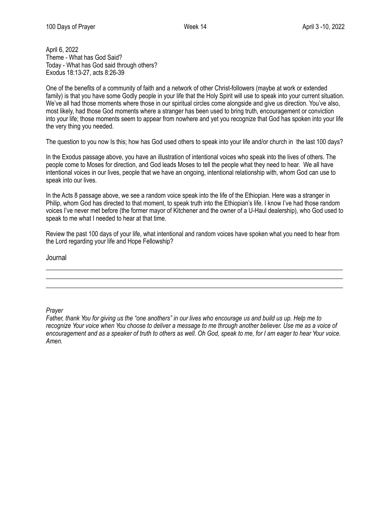April 6, 2022 Theme - What has God Said? Today - What has God said through others? Exodus 18:13-27, acts 8:26-39

One of the benefits of a community of faith and a network of other Christ-followers (maybe at work or extended family) is that you have some Godly people in your life that the Holy Spirit will use to speak into your current situation. We've all had those moments where those in our spiritual circles come alongside and give us direction. You've also, most likely, had those God moments where a stranger has been used to bring truth, encouragement or conviction into your life; those moments seem to appear from nowhere and yet you recognize that God has spoken into your life the very thing you needed.

The question to you now Is this; how has God used others to speak into your life and/or church in the last 100 days?

In the Exodus passage above, you have an illustration of intentional voices who speak into the lives of others. The people come to Moses for direction, and God leads Moses to tell the people what they need to hear. We all have intentional voices in our lives, people that we have an ongoing, intentional relationship with, whom God can use to speak into our lives.

In the Acts 8 passage above, we see a random voice speak into the life of the Ethiopian. Here was a stranger in Philip, whom God has directed to that moment, to speak truth into the Ethiopian's life. I know I've had those random voices I've never met before (the former mayor of Kitchener and the owner of a U-Haul dealership), who God used to speak to me what I needed to hear at that time.

Review the past 100 days of your life, what intentional and random voices have spoken what you need to hear from the Lord regarding your life and Hope Fellowship?

 $\_$  , and the set of the set of the set of the set of the set of the set of the set of the set of the set of the set of the set of the set of the set of the set of the set of the set of the set of the set of the set of th \_\_\_\_\_\_\_\_\_\_\_\_\_\_\_\_\_\_\_\_\_\_\_\_\_\_\_\_\_\_\_\_\_\_\_\_\_\_\_\_\_\_\_\_\_\_\_\_\_\_\_\_\_\_\_\_\_\_\_\_\_\_\_\_\_\_\_\_\_\_\_\_\_\_\_\_\_\_\_\_\_\_\_\_\_ \_\_\_\_\_\_\_\_\_\_\_\_\_\_\_\_\_\_\_\_\_\_\_\_\_\_\_\_\_\_\_\_\_\_\_\_\_\_\_\_\_\_\_\_\_\_\_\_\_\_\_\_\_\_\_\_\_\_\_\_\_\_\_\_\_\_\_\_\_\_\_\_\_\_\_\_\_\_\_\_\_\_\_\_\_

Journal

*Prayer* 

*Father, thank You for giving us the "one anothers" in our lives who encourage us and build us up. Help me to recognize Your voice when You choose to deliver a message to me through another believer. Use me as a voice of encouragement and as a speaker of truth to others as well. Oh God, speak to me, for I am eager to hear Your voice. Amen.*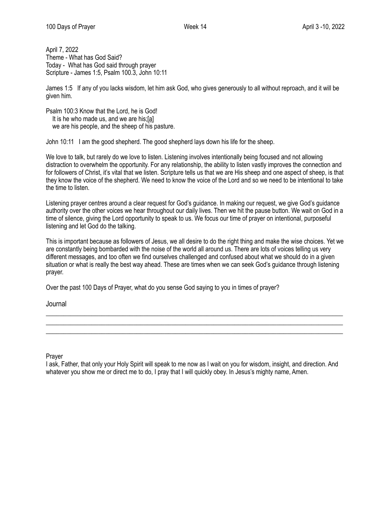April 7, 2022 Theme - What has God Said? Today - What has God said through prayer Scripture - James 1:5, Psalm 100.3, John 10:11

James 1:5 If any of you lacks wisdom, let him ask God, who gives generously to all without reproach, and it will be given him.

Psalm 100:3 Know that the Lord, he is God! It is he who made us, and we are his;[a] we are his people, and the sheep of his pasture.

John 10:11 I am the good shepherd. The good shepherd lays down his life for the sheep.

We love to talk, but rarely do we love to listen. Listening involves intentionally being focused and not allowing distraction to overwhelm the opportunity. For any relationship, the ability to listen vastly improves the connection and for followers of Christ, it's vital that we listen. Scripture tells us that we are His sheep and one aspect of sheep, is that they know the voice of the shepherd. We need to know the voice of the Lord and so we need to be intentional to take the time to listen.

Listening prayer centres around a clear request for God's guidance. In making our request, we give God's guidance authority over the other voices we hear throughout our daily lives. Then we hit the pause button. We wait on God in a time of silence, giving the Lord opportunity to speak to us. We focus our time of prayer on intentional, purposeful listening and let God do the talking.

This is important because as followers of Jesus, we all desire to do the right thing and make the wise choices. Yet we are constantly being bombarded with the noise of the world all around us. There are lots of voices telling us very different messages, and too often we find ourselves challenged and confused about what we should do in a given situation or what is really the best way ahead. These are times when we can seek God's guidance through listening prayer.

 $\_$  , and the set of the set of the set of the set of the set of the set of the set of the set of the set of the set of the set of the set of the set of the set of the set of the set of the set of the set of the set of th \_\_\_\_\_\_\_\_\_\_\_\_\_\_\_\_\_\_\_\_\_\_\_\_\_\_\_\_\_\_\_\_\_\_\_\_\_\_\_\_\_\_\_\_\_\_\_\_\_\_\_\_\_\_\_\_\_\_\_\_\_\_\_\_\_\_\_\_\_\_\_\_\_\_\_\_\_\_\_\_\_\_\_\_\_ \_\_\_\_\_\_\_\_\_\_\_\_\_\_\_\_\_\_\_\_\_\_\_\_\_\_\_\_\_\_\_\_\_\_\_\_\_\_\_\_\_\_\_\_\_\_\_\_\_\_\_\_\_\_\_\_\_\_\_\_\_\_\_\_\_\_\_\_\_\_\_\_\_\_\_\_\_\_\_\_\_\_\_\_\_

Over the past 100 Days of Prayer, what do you sense God saying to you in times of prayer?

Journal

Prayer

I ask, Father, that only your Holy Spirit will speak to me now as I wait on you for wisdom, insight, and direction. And whatever you show me or direct me to do, I pray that I will quickly obey. In Jesus's mighty name, Amen.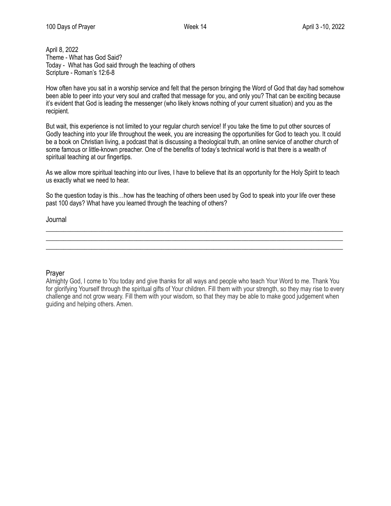April 8, 2022 Theme - What has God Said? Today - What has God said through the teaching of others Scripture - Roman's 12:6-8

How often have you sat in a worship service and felt that the person bringing the Word of God that day had somehow been able to peer into your very soul and crafted that message for you, and only you? That can be exciting because it's evident that God is leading the messenger (who likely knows nothing of your current situation) and you as the recipient.

But wait, this experience is not limited to your regular church service! If you take the time to put other sources of Godly teaching into your life throughout the week, you are increasing the opportunities for God to teach you. It could be a book on Christian living, a podcast that is discussing a theological truth, an online service of another church of some famous or little-known preacher. One of the benefits of today's technical world is that there is a wealth of spiritual teaching at our fingertips.

As we allow more spiritual teaching into our lives, I have to believe that its an opportunity for the Holy Spirit to teach us exactly what we need to hear.

So the question today is this…how has the teaching of others been used by God to speak into your life over these past 100 days? What have you learned through the teaching of others?

 $\_$  , and the set of the set of the set of the set of the set of the set of the set of the set of the set of the set of the set of the set of the set of the set of the set of the set of the set of the set of the set of th \_\_\_\_\_\_\_\_\_\_\_\_\_\_\_\_\_\_\_\_\_\_\_\_\_\_\_\_\_\_\_\_\_\_\_\_\_\_\_\_\_\_\_\_\_\_\_\_\_\_\_\_\_\_\_\_\_\_\_\_\_\_\_\_\_\_\_\_\_\_\_\_\_\_\_\_\_\_\_\_\_\_\_\_\_ \_\_\_\_\_\_\_\_\_\_\_\_\_\_\_\_\_\_\_\_\_\_\_\_\_\_\_\_\_\_\_\_\_\_\_\_\_\_\_\_\_\_\_\_\_\_\_\_\_\_\_\_\_\_\_\_\_\_\_\_\_\_\_\_\_\_\_\_\_\_\_\_\_\_\_\_\_\_\_\_\_\_\_\_\_

Journal

## Prayer

Almighty God, I come to You today and give thanks for all ways and people who teach Your Word to me. Thank You for glorifying Yourself through the spiritual gifts of Your children. Fill them with your strength, so they may rise to every challenge and not grow weary. Fill them with your wisdom, so that they may be able to make good judgement when guiding and helping others. Amen.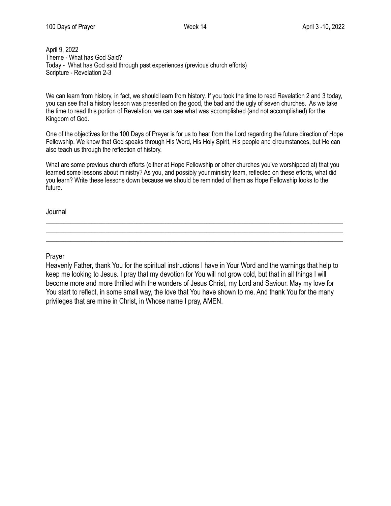April 9, 2022 Theme - What has God Said? Today - What has God said through past experiences (previous church efforts) Scripture - Revelation 2-3

We can learn from history, in fact, we should learn from history. If you took the time to read Revelation 2 and 3 today, you can see that a history lesson was presented on the good, the bad and the ugly of seven churches. As we take the time to read this portion of Revelation, we can see what was accomplished (and not accomplished) for the Kingdom of God.

One of the objectives for the 100 Days of Prayer is for us to hear from the Lord regarding the future direction of Hope Fellowship. We know that God speaks through His Word, His Holy Spirit, His people and circumstances, but He can also teach us through the reflection of history.

What are some previous church efforts (either at Hope Fellowship or other churches you've worshipped at) that you learned some lessons about ministry? As you, and possibly your ministry team, reflected on these efforts, what did you learn? Write these lessons down because we should be reminded of them as Hope Fellowship looks to the future.

 $\_$  , and the set of the set of the set of the set of the set of the set of the set of the set of the set of the set of the set of the set of the set of the set of the set of the set of the set of the set of the set of th \_\_\_\_\_\_\_\_\_\_\_\_\_\_\_\_\_\_\_\_\_\_\_\_\_\_\_\_\_\_\_\_\_\_\_\_\_\_\_\_\_\_\_\_\_\_\_\_\_\_\_\_\_\_\_\_\_\_\_\_\_\_\_\_\_\_\_\_\_\_\_\_\_\_\_\_\_\_\_\_\_\_\_\_\_ \_\_\_\_\_\_\_\_\_\_\_\_\_\_\_\_\_\_\_\_\_\_\_\_\_\_\_\_\_\_\_\_\_\_\_\_\_\_\_\_\_\_\_\_\_\_\_\_\_\_\_\_\_\_\_\_\_\_\_\_\_\_\_\_\_\_\_\_\_\_\_\_\_\_\_\_\_\_\_\_\_\_\_\_\_

Journal

Prayer

Heavenly Father, thank You for the spiritual instructions I have in Your Word and the warnings that help to keep me looking to Jesus. I pray that my devotion for You will not grow cold, but that in all things I will become more and more thrilled with the wonders of Jesus Christ, my Lord and Saviour. May my love for You start to reflect, in some small way, the love that You have shown to me. And thank You for the many privileges that are mine in Christ, in Whose name I pray, AMEN.